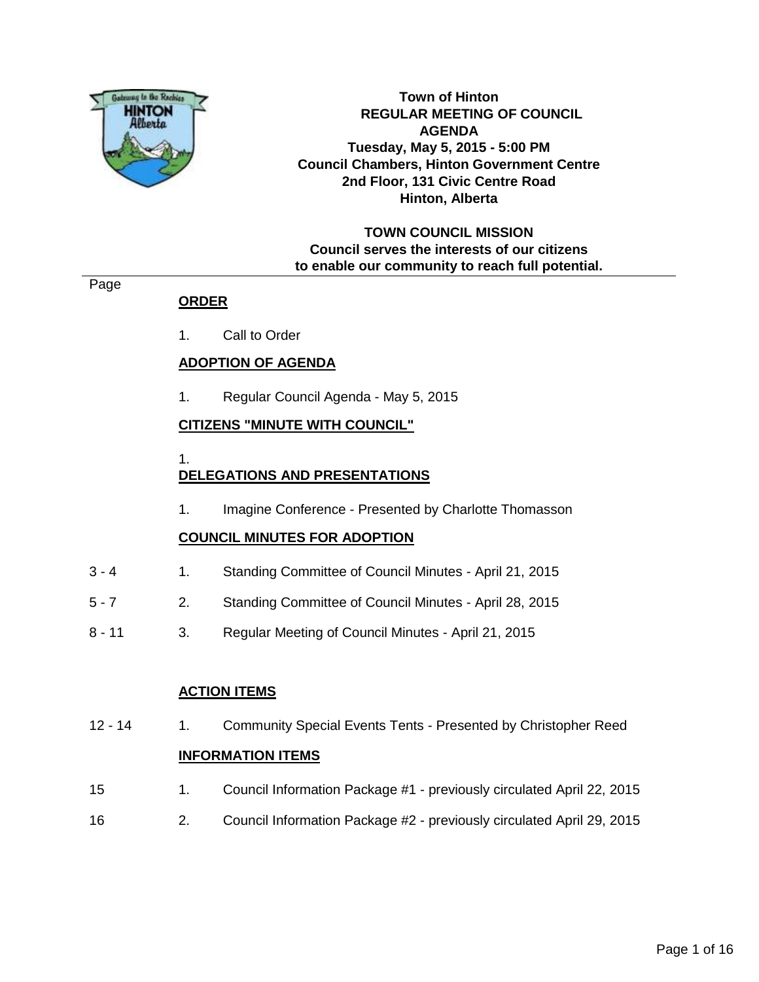

**Town of Hinton REGULAR MEETING OF COUNCIL AGENDA Tuesday, May 5, 2015 - 5:00 PM Council Chambers, Hinton Government Centre 2nd Floor, 131 Civic Centre Road Hinton, Alberta**

# **TOWN COUNCIL MISSION Council serves the interests of our citizens to enable our community to reach full potential.**

## Page

# **ORDER**

1. Call to Order

## **ADOPTION OF AGENDA**

1. Regular Council Agenda - May 5, 2015

## **CITIZENS "MINUTE WITH COUNCIL"**

1.

# **DELEGATIONS AND PRESENTATIONS**

1. Imagine Conference - Presented by Charlotte Thomasson

# **COUNCIL MINUTES FOR ADOPTION**

- 3 4 1. Standing Committee of Council Minutes April 21, 2015
- 5 7 2. Standing Committee of Council Minutes April 28, 2015
- 8 11 3. Regular Meeting of Council Minutes April 21, 2015

# **ACTION ITEMS**

12 - 14 1. Community Special Events Tents - Presented by Christopher Reed

## **INFORMATION ITEMS**

- 15 1. Council Information Package #1 previously circulated April 22, 2015
- 16 2. Council Information Package #2 previously circulated April 29, 2015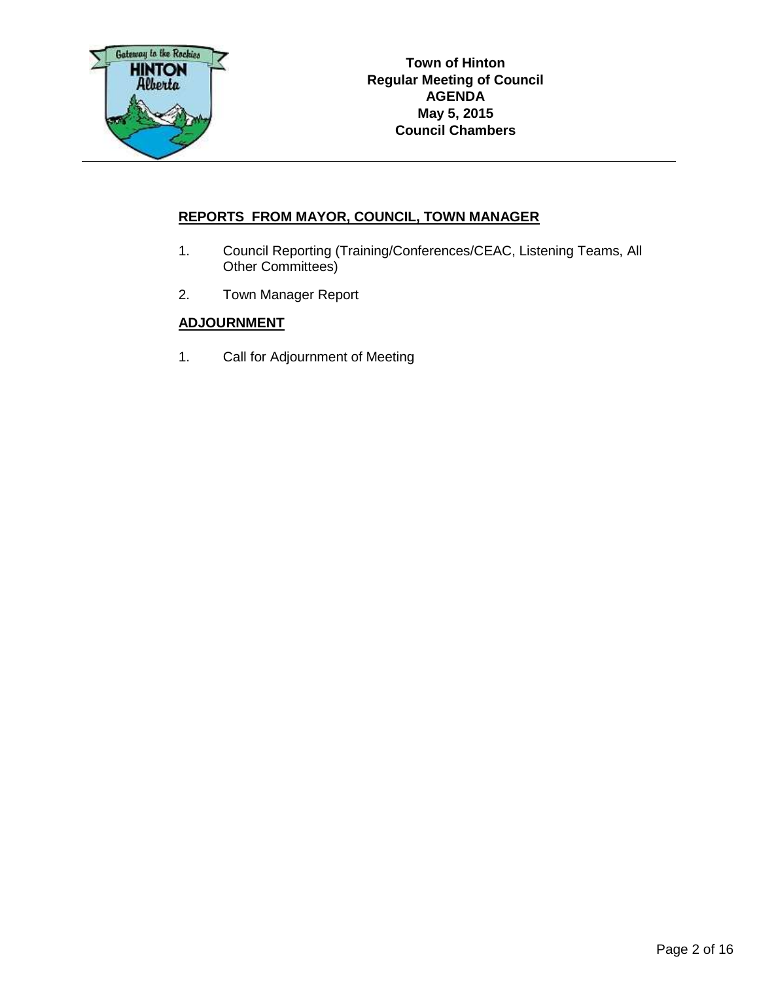

# **REPORTS FROM MAYOR, COUNCIL, TOWN MANAGER**

- 1. Council Reporting (Training/Conferences/CEAC, Listening Teams, All Other Committees)
- 2. Town Manager Report

# **ADJOURNMENT**

1. Call for Adjournment of Meeting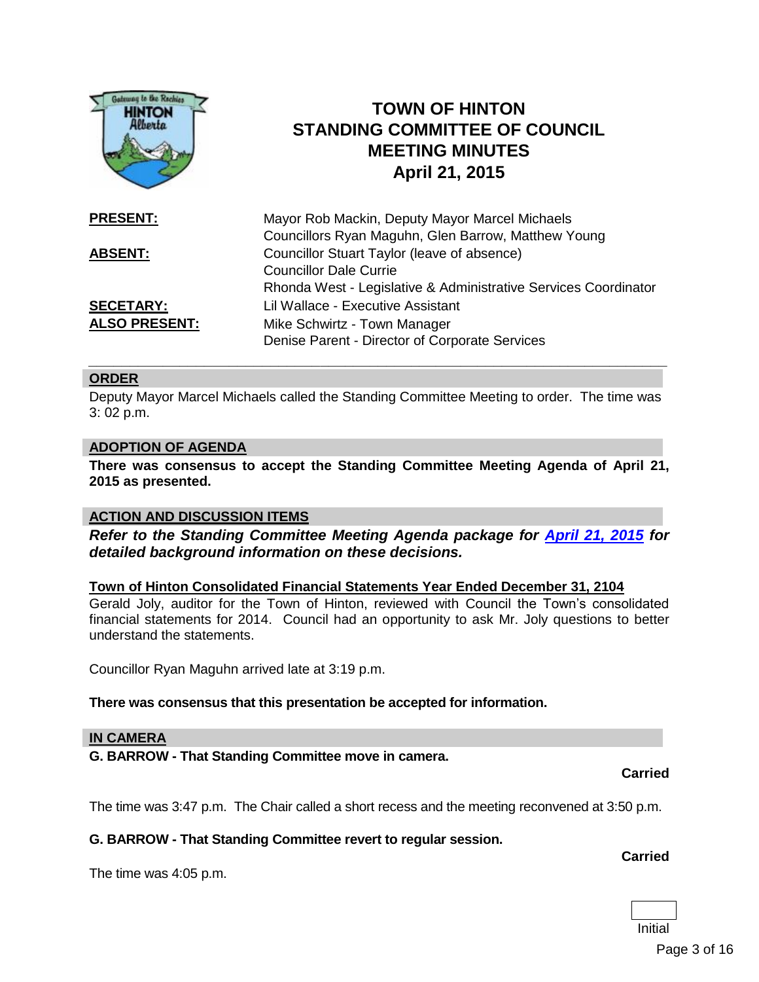

#### **ORDER**

Deputy Mayor Marcel Michaels called the Standing Committee Meeting to order. The time was 3: 02 p.m.

#### **ADOPTION OF AGENDA**

**There was consensus to accept the Standing Committee Meeting Agenda of April 21, 2015 as presented.**

#### **ACTION AND DISCUSSION ITEMS**

*Refer to the Standing Committee Meeting Agenda package for [April 21, 2015](http://www.hinton.ca/ArchiveCenter/ViewFile/Item/1411) for detailed background information on these decisions.*

**Town of Hinton Consolidated Financial Statements Year Ended December 31, 2104**  Gerald Joly, auditor for the Town of Hinton, reviewed with Council the Town's consolidated

financial statements for 2014. Council had an opportunity to ask Mr. Joly questions to better understand the statements.

Councillor Ryan Maguhn arrived late at 3:19 p.m.

#### **There was consensus that this presentation be accepted for information.**

#### **IN CAMERA**

**G. BARROW - That Standing Committee move in camera.**

**Carried**

The time was 3:47 p.m. The Chair called a short recess and the meeting reconvened at 3:50 p.m.

#### **G. BARROW - That Standing Committee revert to regular session.**

The time was 4:05 p.m.

# **Carried**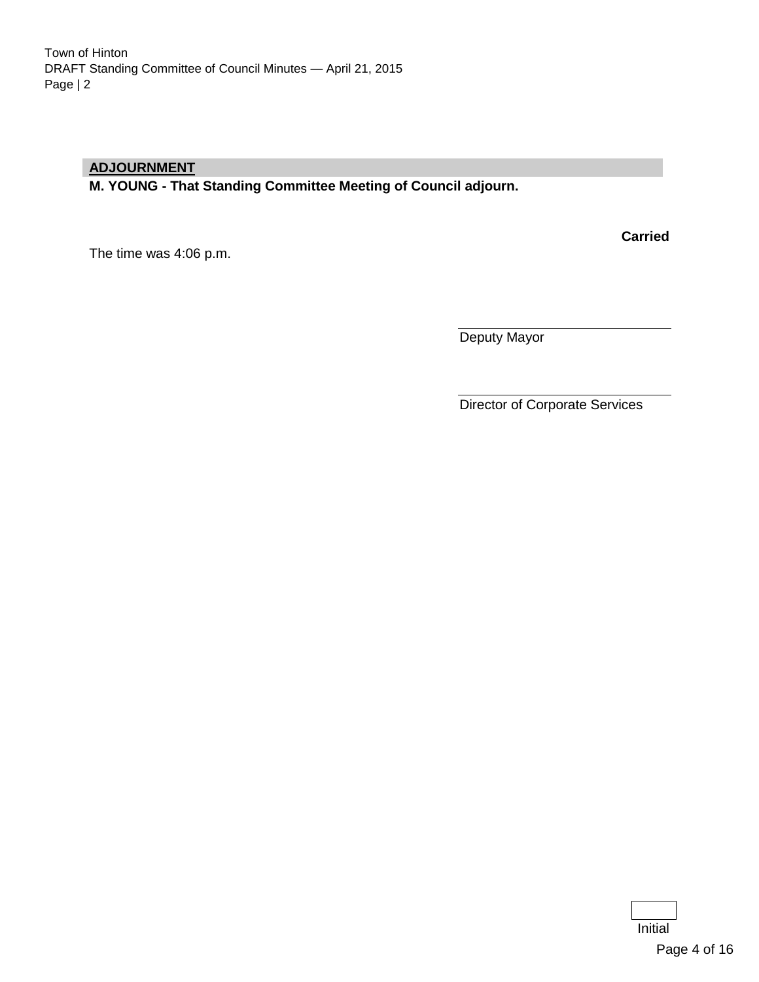## **ADJOURNMENT**

**M. YOUNG - That Standing Committee Meeting of Council adjourn.**

The time was 4:06 p.m.

**Carried**

Deputy Mayor

Director of Corporate Services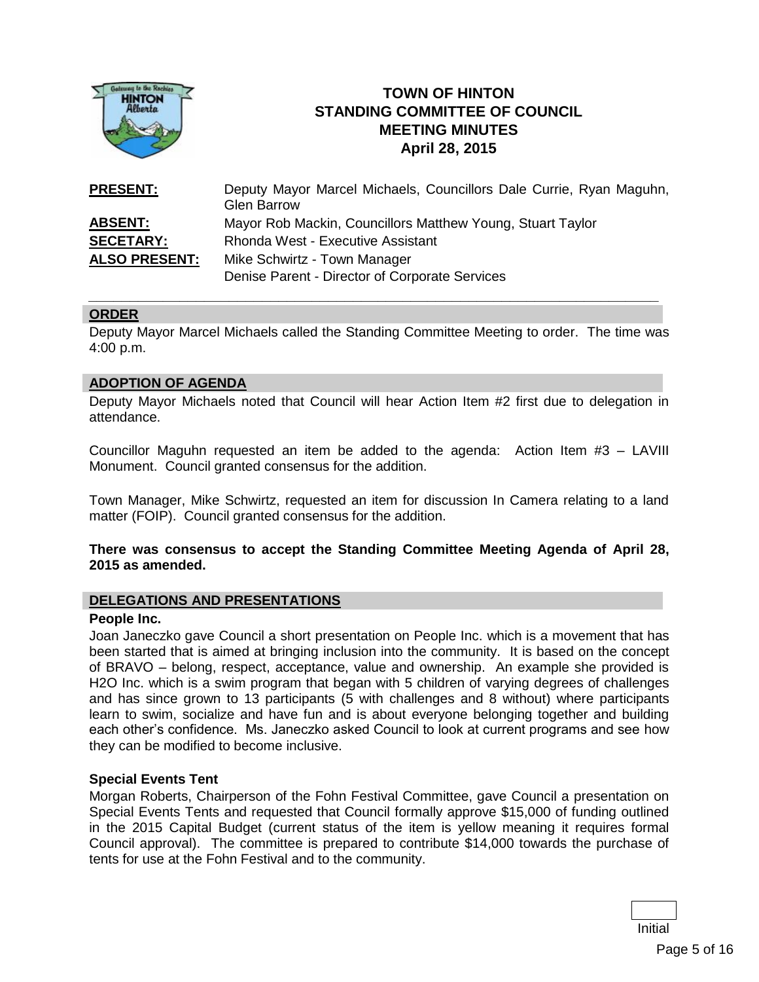

# **TOWN OF HINTON STANDING COMMITTEE OF COUNCIL MEETING MINUTES April 28, 2015**

| <b>PRESENT:</b>      | Deputy Mayor Marcel Michaels, Councillors Dale Currie, Ryan Maguhn,<br><b>Glen Barrow</b> |  |
|----------------------|-------------------------------------------------------------------------------------------|--|
| <b>ABSENT:</b>       | Mayor Rob Mackin, Councillors Matthew Young, Stuart Taylor                                |  |
| <b>SECETARY:</b>     | Rhonda West - Executive Assistant                                                         |  |
| <b>ALSO PRESENT:</b> | Mike Schwirtz - Town Manager                                                              |  |
|                      | Denise Parent - Director of Corporate Services                                            |  |

#### **ORDER**

Deputy Mayor Marcel Michaels called the Standing Committee Meeting to order. The time was 4:00 p.m.

*\_\_\_\_\_\_\_\_\_\_\_\_\_\_\_\_\_\_\_\_\_\_\_\_\_\_\_\_\_\_\_\_\_\_\_\_\_\_\_\_\_\_\_\_\_\_\_\_\_\_\_\_\_\_\_\_\_\_\_\_\_\_\_\_\_\_\_\_\_*

#### **ADOPTION OF AGENDA**

Deputy Mayor Michaels noted that Council will hear Action Item #2 first due to delegation in attendance.

Councillor Maguhn requested an item be added to the agenda: Action Item #3 – LAVIII Monument. Council granted consensus for the addition.

Town Manager, Mike Schwirtz, requested an item for discussion In Camera relating to a land matter (FOIP). Council granted consensus for the addition.

#### **There was consensus to accept the Standing Committee Meeting Agenda of April 28, 2015 as amended.**

#### **DELEGATIONS AND PRESENTATIONS**

#### **People Inc.**

Joan Janeczko gave Council a short presentation on People Inc. which is a movement that has been started that is aimed at bringing inclusion into the community. It is based on the concept of BRAVO – belong, respect, acceptance, value and ownership. An example she provided is H2O Inc. which is a swim program that began with 5 children of varying degrees of challenges and has since grown to 13 participants (5 with challenges and 8 without) where participants learn to swim, socialize and have fun and is about everyone belonging together and building each other's confidence. Ms. Janeczko asked Council to look at current programs and see how they can be modified to become inclusive.

#### **Special Events Tent**

Morgan Roberts, Chairperson of the Fohn Festival Committee, gave Council a presentation on Special Events Tents and requested that Council formally approve \$15,000 of funding outlined in the 2015 Capital Budget (current status of the item is yellow meaning it requires formal Council approval). The committee is prepared to contribute \$14,000 towards the purchase of tents for use at the Fohn Festival and to the community.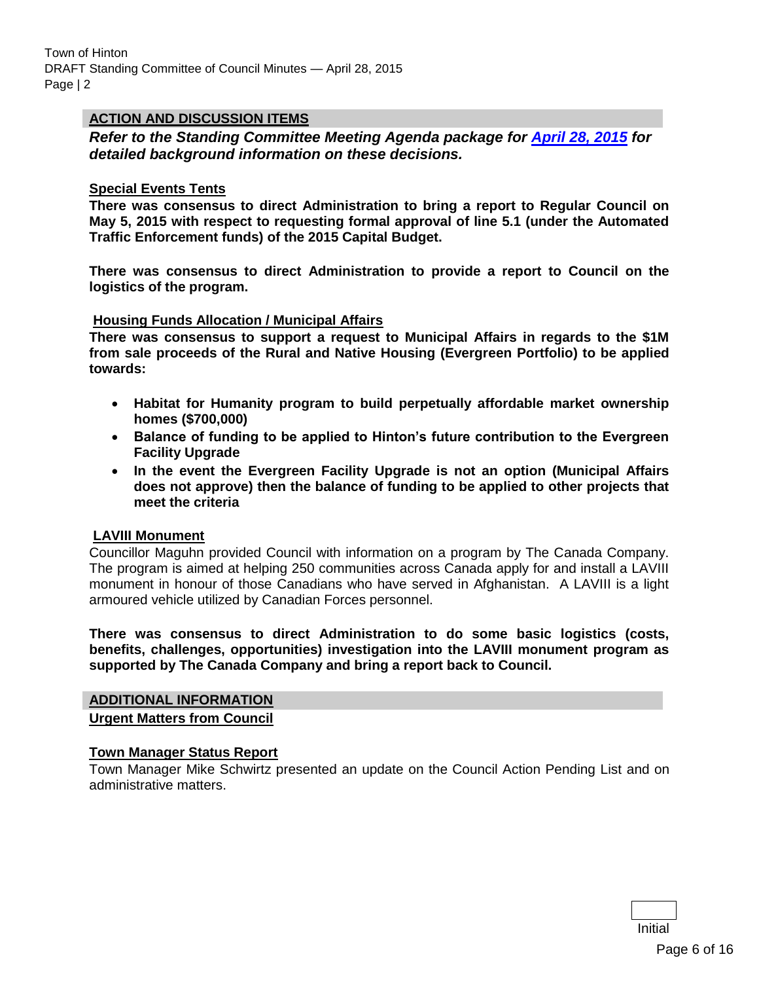## **ACTION AND DISCUSSION ITEMS**

*Refer to the Standing Committee Meeting Agenda package for [April 28, 2015](http://www.hinton.ca/ArchiveCenter/ViewFile/Item/1415) for detailed background information on these decisions.*

#### **Special Events Tents**

**There was consensus to direct Administration to bring a report to Regular Council on May 5, 2015 with respect to requesting formal approval of line 5.1 (under the Automated Traffic Enforcement funds) of the 2015 Capital Budget.**

**There was consensus to direct Administration to provide a report to Council on the logistics of the program.**

#### **Housing Funds Allocation / Municipal Affairs**

**There was consensus to support a request to Municipal Affairs in regards to the \$1M from sale proceeds of the Rural and Native Housing (Evergreen Portfolio) to be applied towards:**

- **Habitat for Humanity program to build perpetually affordable market ownership homes (\$700,000)**
- **Balance of funding to be applied to Hinton's future contribution to the Evergreen Facility Upgrade**
- **In the event the Evergreen Facility Upgrade is not an option (Municipal Affairs does not approve) then the balance of funding to be applied to other projects that meet the criteria**

#### **LAVIII Monument**

Councillor Maguhn provided Council with information on a program by The Canada Company. The program is aimed at helping 250 communities across Canada apply for and install a LAVIII monument in honour of those Canadians who have served in Afghanistan. A LAVIII is a light armoured vehicle utilized by Canadian Forces personnel.

**There was consensus to direct Administration to do some basic logistics (costs, benefits, challenges, opportunities) investigation into the LAVIII monument program as supported by The Canada Company and bring a report back to Council.** 

#### **ADDITIONAL INFORMATION**

**Urgent Matters from Council**

#### **Town Manager Status Report**

Town Manager Mike Schwirtz presented an update on the Council Action Pending List and on administrative matters.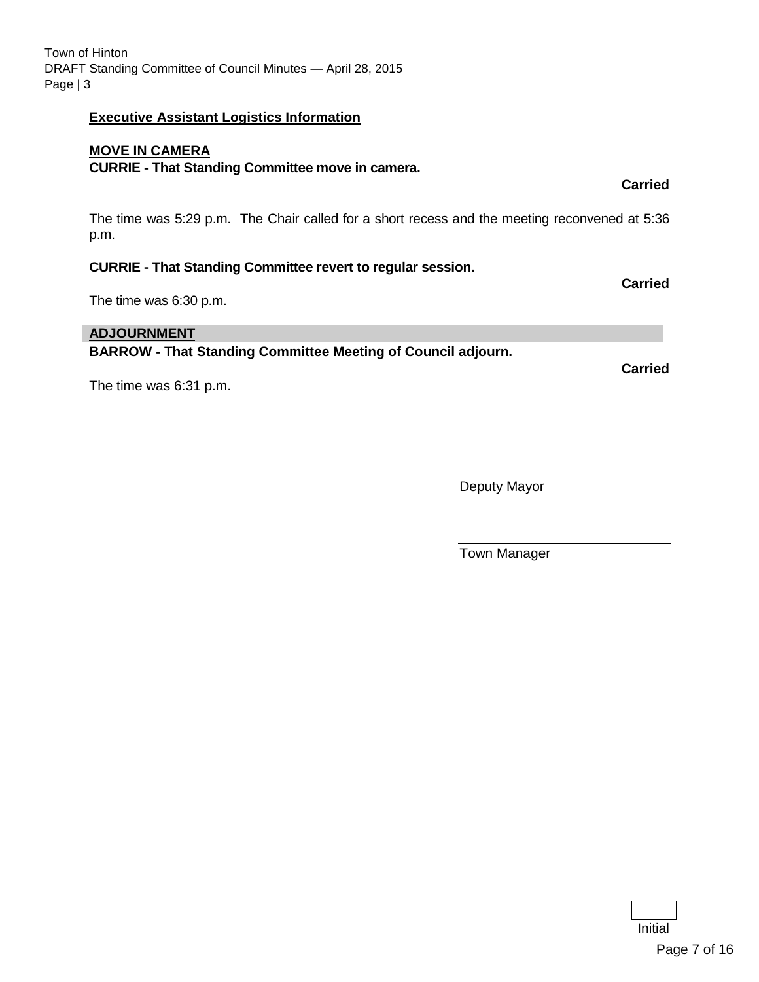Initial

# **Executive Assistant Logistics Information**

# **MOVE IN CAMERA**

# **CURRIE - That Standing Committee move in camera.**

The time was 5:29 p.m. The Chair called for a short recess and the meeting reconvened at 5:36 p.m.

# **CURRIE - That Standing Committee revert to regular session.**

The time was 6:30 p.m.

# **ADJOURNMENT**

**BARROW - That Standing Committee Meeting of Council adjourn.**

The time was 6:31 p.m.

Deputy Mayor

Town Manager

**Carried**

**Carried**

**Carried**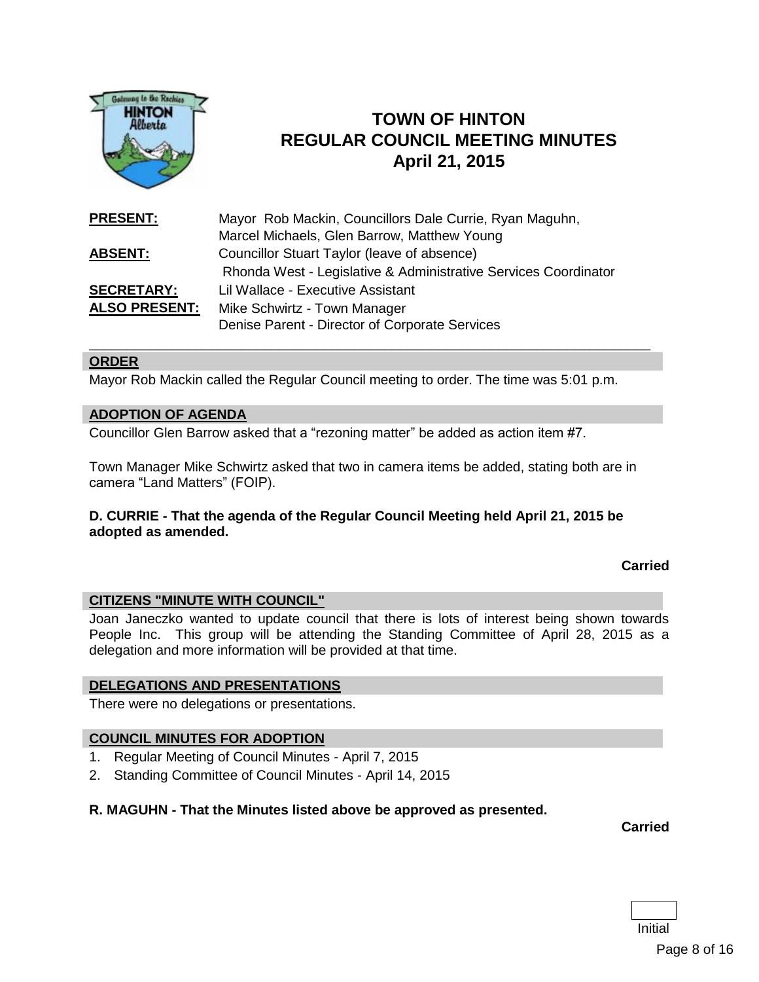

# **TOWN OF HINTON REGULAR COUNCIL MEETING MINUTES April 21, 2015**

| <b>PRESENT:</b>      | Mayor Rob Mackin, Councillors Dale Currie, Ryan Maguhn,         |
|----------------------|-----------------------------------------------------------------|
|                      | Marcel Michaels, Glen Barrow, Matthew Young                     |
| <b>ABSENT:</b>       | Councillor Stuart Taylor (leave of absence)                     |
|                      | Rhonda West - Legislative & Administrative Services Coordinator |
| <b>SECRETARY:</b>    | Lil Wallace - Executive Assistant                               |
| <b>ALSO PRESENT:</b> | Mike Schwirtz - Town Manager                                    |
|                      | Denise Parent - Director of Corporate Services                  |

#### **ORDER**

Mayor Rob Mackin called the Regular Council meeting to order. The time was 5:01 p.m.

\_\_\_\_\_\_\_\_\_\_\_\_\_\_\_\_\_\_\_\_\_\_\_\_\_\_\_\_\_\_\_\_\_\_\_\_\_\_\_\_\_\_\_\_\_\_\_\_\_\_\_\_\_\_\_\_\_\_\_\_\_\_\_\_\_\_\_\_\_\_\_\_\_\_

#### **ADOPTION OF AGENDA**

Councillor Glen Barrow asked that a "rezoning matter" be added as action item #7.

Town Manager Mike Schwirtz asked that two in camera items be added, stating both are in camera "Land Matters" (FOIP).

#### **D. CURRIE - That the agenda of the Regular Council Meeting held April 21, 2015 be adopted as amended.**

#### **Carried**

#### **CITIZENS "MINUTE WITH COUNCIL"**

Joan Janeczko wanted to update council that there is lots of interest being shown towards People Inc. This group will be attending the Standing Committee of April 28, 2015 as a delegation and more information will be provided at that time.

#### **DELEGATIONS AND PRESENTATIONS**

There were no delegations or presentations.

#### **COUNCIL MINUTES FOR ADOPTION**

- 1. Regular Meeting of Council Minutes April 7, 2015
- 2. Standing Committee of Council Minutes April 14, 2015

#### **R. MAGUHN - That the Minutes listed above be approved as presented.**

**Carried**

| r<br>'' |  |
|---------|--|

Page 8 of 16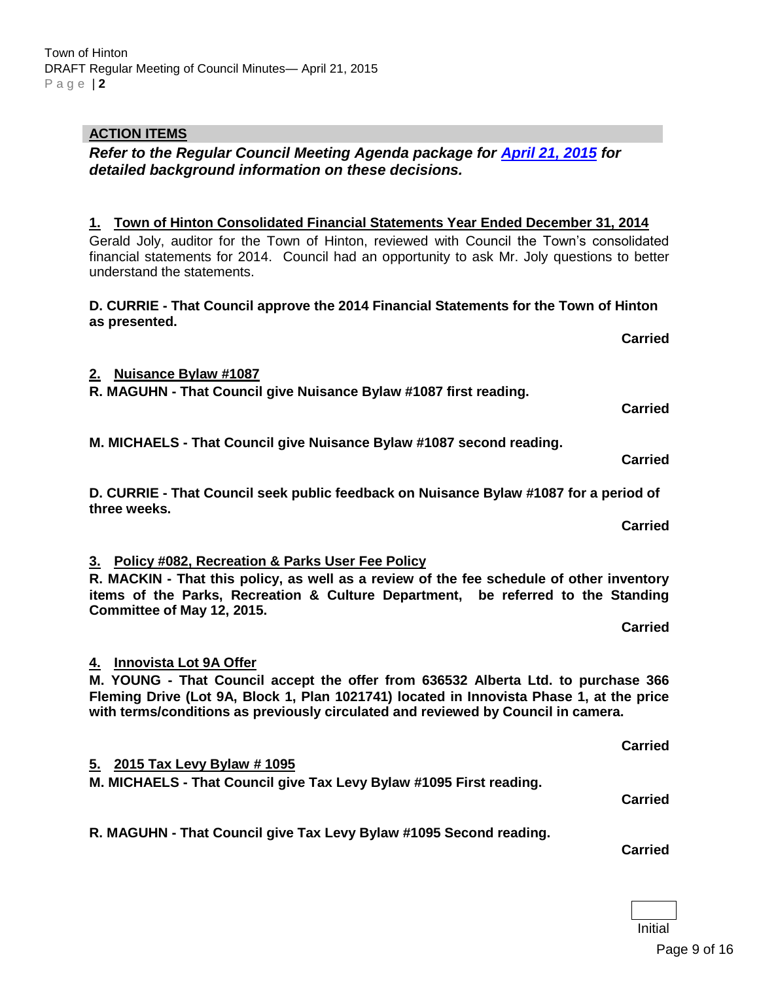#### Town of Hinton DRAFT Regular Meeting of Council Minutes— April 21, 2015 P a g e | **2**

# **ACTION ITEMS**

*Refer to the Regular Council Meeting Agenda package for [April 21, 2015](http://www.hinton.ca/ArchiveCenter/ViewFile/Item/1410) for detailed background information on these decisions.*

## **1. Town of Hinton Consolidated Financial Statements Year Ended December 31, 2014**

Gerald Joly, auditor for the Town of Hinton, reviewed with Council the Town's consolidated financial statements for 2014. Council had an opportunity to ask Mr. Joly questions to better understand the statements.

#### **D. CURRIE - That Council approve the 2014 Financial Statements for the Town of Hinton as presented.**

#### **2. Nuisance Bylaw #1087**

**R. MAGUHN - That Council give Nuisance Bylaw #1087 first reading.** 

**M. MICHAELS - That Council give Nuisance Bylaw #1087 second reading.** 

**D. CURRIE - That Council seek public feedback on Nuisance Bylaw #1087 for a period of three weeks.**

## **3. Policy #082, Recreation & Parks User Fee Policy**

**R. MACKIN - That this policy, as well as a review of the fee schedule of other inventory items of the Parks, Recreation & Culture Department, be referred to the Standing Committee of May 12, 2015.**

**4. Innovista Lot 9A Offer** 

**M. YOUNG - That Council accept the offer from 636532 Alberta Ltd. to purchase 366 Fleming Drive (Lot 9A, Block 1, Plan 1021741) located in Innovista Phase 1, at the price with terms/conditions as previously circulated and reviewed by Council in camera.**

**5. 2015 Tax Levy Bylaw # 1095 M. MICHAELS - That Council give Tax Levy Bylaw #1095 First reading. Carried**

**R. MAGUHN - That Council give Tax Levy Bylaw #1095 Second reading.** 

**Carried**

Initial

**Carried**

**Carried**

**Carried**

**Carried**

**Carried**

**Carried**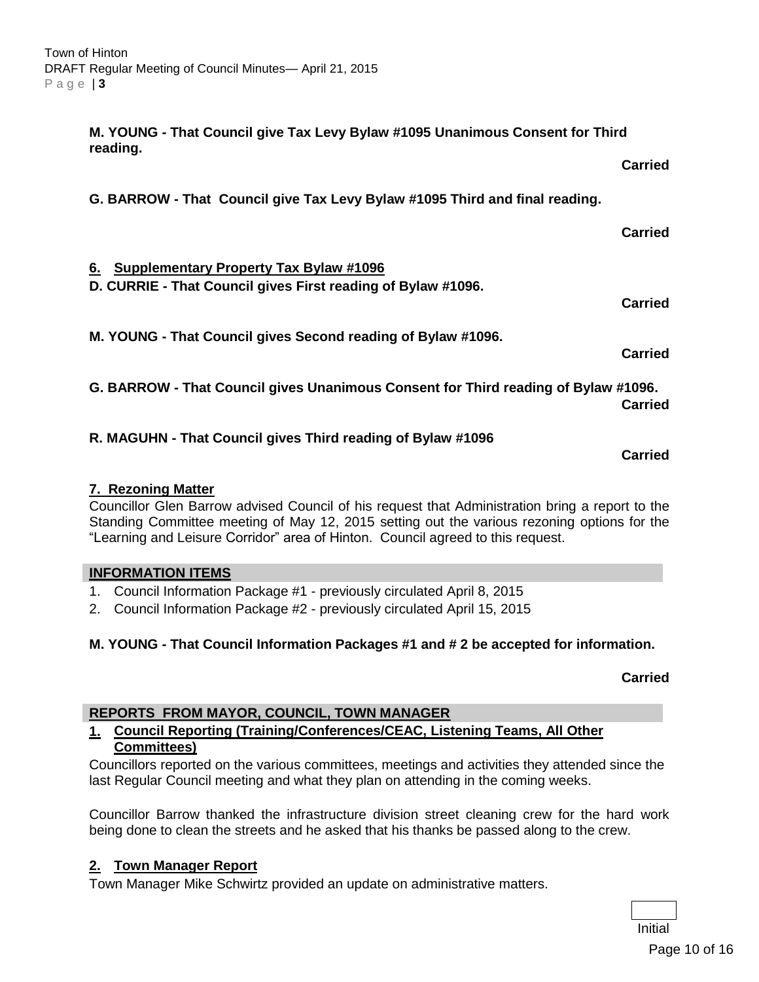**M. YOUNG - That Council give Tax Levy Bylaw #1095 Unanimous Consent for Third reading. Carried G. BARROW - That Council give Tax Levy Bylaw #1095 Third and final reading. Carried 6. Supplementary Property Tax Bylaw #1096 D. CURRIE - That Council gives First reading of Bylaw #1096. Carried M. YOUNG - That Council gives Second reading of Bylaw #1096. Carried G. BARROW - That Council gives Unanimous Consent for Third reading of Bylaw #1096. Carried R. MAGUHN - That Council gives Third reading of Bylaw #1096**

#### **7. Rezoning Matter**

Councillor Glen Barrow advised Council of his request that Administration bring a report to the Standing Committee meeting of May 12, 2015 setting out the various rezoning options for the "Learning and Leisure Corridor" area of Hinton. Council agreed to this request.

#### **INFORMATION ITEMS**

- 1. Council Information Package #1 previously circulated April 8, 2015
- 2. Council Information Package #2 previously circulated April 15, 2015

#### **M. YOUNG - That Council Information Packages #1 and # 2 be accepted for information.**

#### **Carried**

**Carried**

#### **REPORTS FROM MAYOR, COUNCIL, TOWN MANAGER**

#### **1. Council Reporting (Training/Conferences/CEAC, Listening Teams, All Other Committees)**

Councillors reported on the various committees, meetings and activities they attended since the last Regular Council meeting and what they plan on attending in the coming weeks.

Councillor Barrow thanked the infrastructure division street cleaning crew for the hard work being done to clean the streets and he asked that his thanks be passed along to the crew.

#### **2. Town Manager Report**

Town Manager Mike Schwirtz provided an update on administrative matters.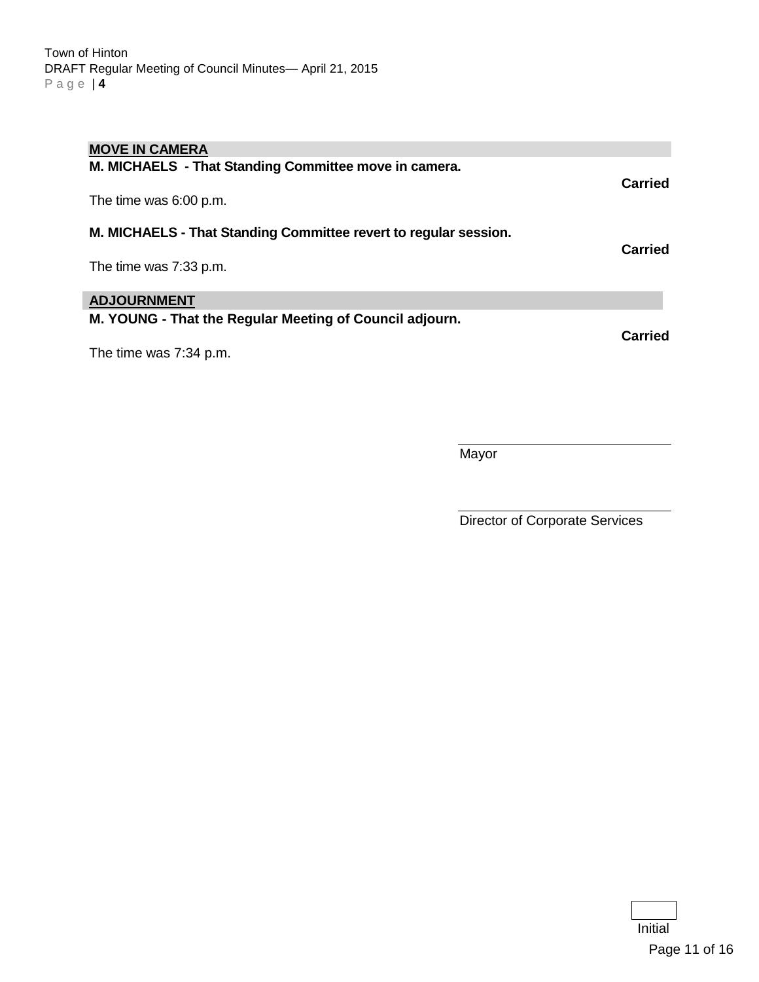| <b>MOVE IN CAMERA</b>                                            |         |
|------------------------------------------------------------------|---------|
| M. MICHAELS - That Standing Committee move in camera.            |         |
| The time was 6:00 p.m.                                           | Carried |
| M. MICHAELS - That Standing Committee revert to regular session. |         |
|                                                                  | Carried |
| The time was 7:33 p.m.                                           |         |
| <b>ADJOURNMENT</b>                                               |         |
| M. YOUNG - That the Regular Meeting of Council adjourn.          | Carried |
| The time was 7:34 p.m.                                           |         |
|                                                                  |         |

**Mayor** 

Director of Corporate Services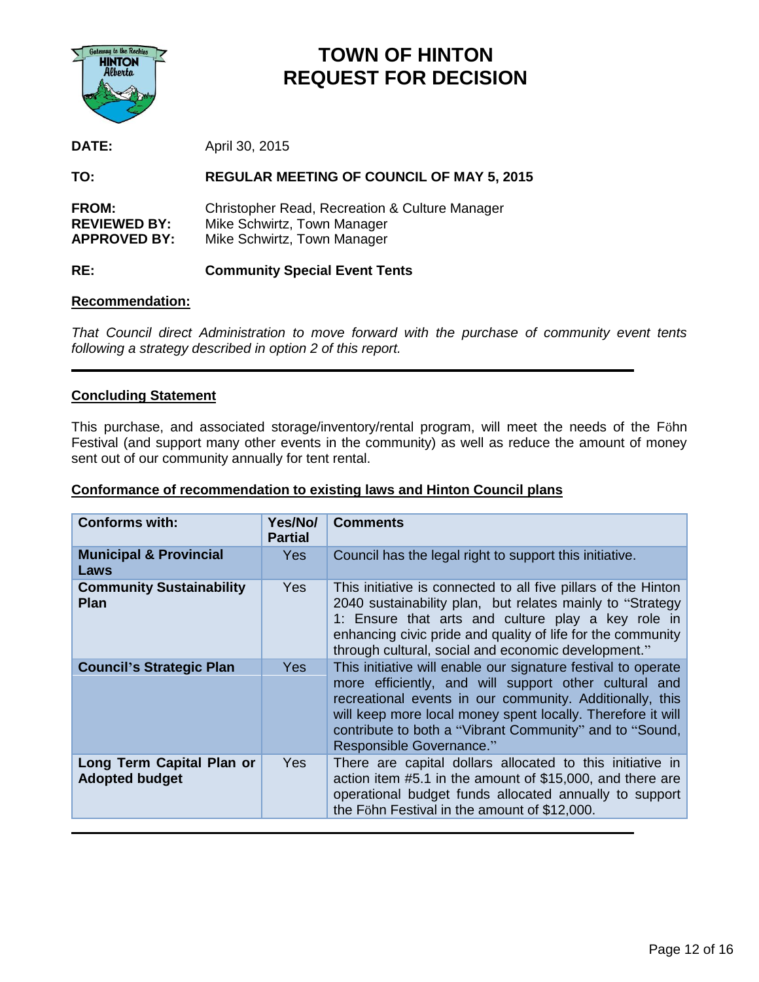

# **TOWN OF HINTON REQUEST FOR DECISION**

**DATE:** April 30, 2015

**TO: REGULAR MEETING OF COUNCIL OF MAY 5, 2015**

| <b>FROM:</b>        | Christopher Read, Recreation & Culture Manager |
|---------------------|------------------------------------------------|
| <b>REVIEWED BY:</b> | Mike Schwirtz, Town Manager                    |
| <b>APPROVED BY:</b> | Mike Schwirtz, Town Manager                    |

## **RE: Community Special Event Tents**

#### **Recommendation:**

*That Council direct Administration to move forward with the purchase of community event tents following a strategy described in option 2 of this report.*

## **Concluding Statement**

This purchase, and associated storage/inventory/rental program, will meet the needs of the Föhn Festival (and support many other events in the community) as well as reduce the amount of money sent out of our community annually for tent rental.

#### **Conformance of recommendation to existing laws and Hinton Council plans**

| <b>Conforms with:</b>                              | Yes/No/<br><b>Partial</b> | <b>Comments</b>                                                                                                                                                                                                                                                                                                                          |
|----------------------------------------------------|---------------------------|------------------------------------------------------------------------------------------------------------------------------------------------------------------------------------------------------------------------------------------------------------------------------------------------------------------------------------------|
| <b>Municipal &amp; Provincial</b><br>Laws          | <b>Yes</b>                | Council has the legal right to support this initiative.                                                                                                                                                                                                                                                                                  |
| <b>Community Sustainability</b><br><b>Plan</b>     | <b>Yes</b>                | This initiative is connected to all five pillars of the Hinton<br>2040 sustainability plan, but relates mainly to "Strategy<br>1: Ensure that arts and culture play a key role in<br>enhancing civic pride and quality of life for the community<br>through cultural, social and economic development."                                  |
| <b>Council's Strategic Plan</b>                    | <b>Yes</b>                | This initiative will enable our signature festival to operate<br>more efficiently, and will support other cultural and<br>recreational events in our community. Additionally, this<br>will keep more local money spent locally. Therefore it will<br>contribute to both a "Vibrant Community" and to "Sound,<br>Responsible Governance." |
| Long Term Capital Plan or<br><b>Adopted budget</b> | Yes                       | There are capital dollars allocated to this initiative in<br>action item #5.1 in the amount of \$15,000, and there are<br>operational budget funds allocated annually to support<br>the Föhn Festival in the amount of \$12,000.                                                                                                         |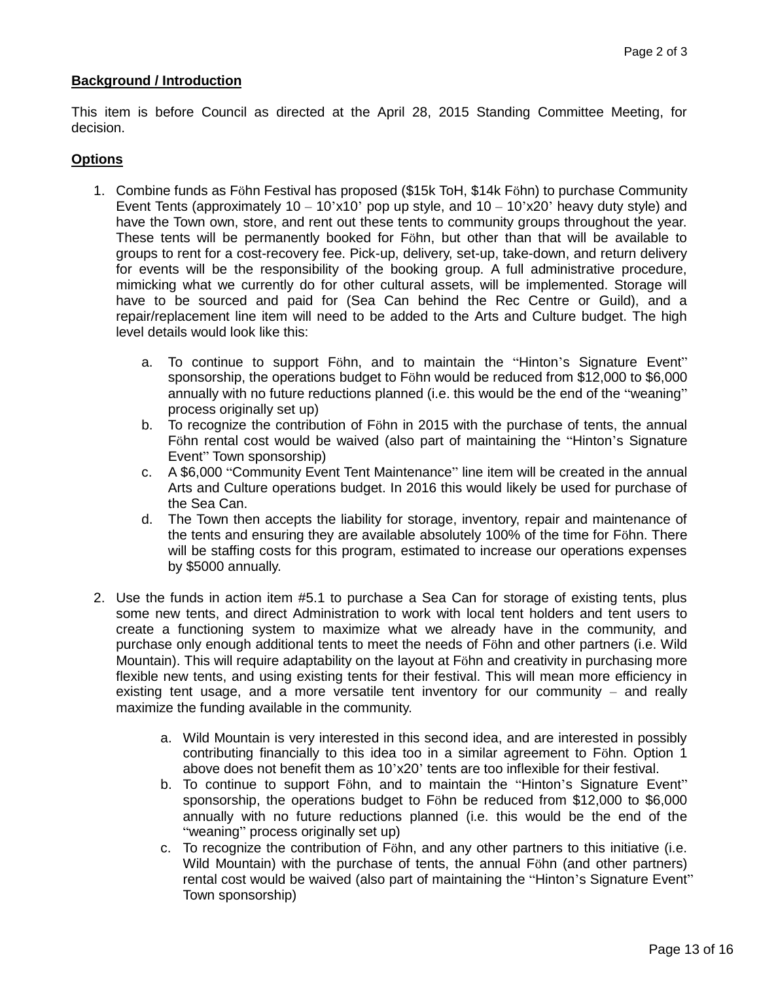#### **Background / Introduction**

This item is before Council as directed at the April 28, 2015 Standing Committee Meeting, for decision.

#### **Options**

- 1. Combine funds as Föhn Festival has proposed (\$15k ToH, \$14k Föhn) to purchase Community Event Tents (approximately  $10 - 10$ 'x10' pop up style, and  $10 - 10$ 'x20' heavy duty style) and have the Town own, store, and rent out these tents to community groups throughout the year. These tents will be permanently booked for Föhn, but other than that will be available to groups to rent for a cost-recovery fee. Pick-up, delivery, set-up, take-down, and return delivery for events will be the responsibility of the booking group. A full administrative procedure, mimicking what we currently do for other cultural assets, will be implemented. Storage will have to be sourced and paid for (Sea Can behind the Rec Centre or Guild), and a repair/replacement line item will need to be added to the Arts and Culture budget. The high level details would look like this:
	- a. To continue to support Föhn, and to maintain the "Hinton's Signature Event" sponsorship, the operations budget to Föhn would be reduced from \$12,000 to \$6,000 annually with no future reductions planned (i.e. this would be the end of the "weaning" process originally set up)
	- b. To recognize the contribution of Föhn in 2015 with the purchase of tents, the annual Föhn rental cost would be waived (also part of maintaining the "Hinton's Signature Event" Town sponsorship)
	- c. A \$6,000 "Community Event Tent Maintenance" line item will be created in the annual Arts and Culture operations budget. In 2016 this would likely be used for purchase of the Sea Can.
	- d. The Town then accepts the liability for storage, inventory, repair and maintenance of the tents and ensuring they are available absolutely 100% of the time for Föhn. There will be staffing costs for this program, estimated to increase our operations expenses by \$5000 annually.
- 2. Use the funds in action item #5.1 to purchase a Sea Can for storage of existing tents, plus some new tents, and direct Administration to work with local tent holders and tent users to create a functioning system to maximize what we already have in the community, and purchase only enough additional tents to meet the needs of Föhn and other partners (i.e. Wild Mountain). This will require adaptability on the layout at Föhn and creativity in purchasing more flexible new tents, and using existing tents for their festival. This will mean more efficiency in existing tent usage, and a more versatile tent inventory for our community – and really maximize the funding available in the community.
	- a. Wild Mountain is very interested in this second idea, and are interested in possibly contributing financially to this idea too in a similar agreement to Föhn. Option 1 above does not benefit them as 10'x20' tents are too inflexible for their festival.
	- b. To continue to support Föhn, and to maintain the "Hinton's Signature Event" sponsorship, the operations budget to Föhn be reduced from \$12,000 to \$6,000 annually with no future reductions planned (i.e. this would be the end of the "weaning" process originally set up)
	- c. To recognize the contribution of Föhn, and any other partners to this initiative (i.e. Wild Mountain) with the purchase of tents, the annual Föhn (and other partners) rental cost would be waived (also part of maintaining the "Hinton's Signature Event" Town sponsorship)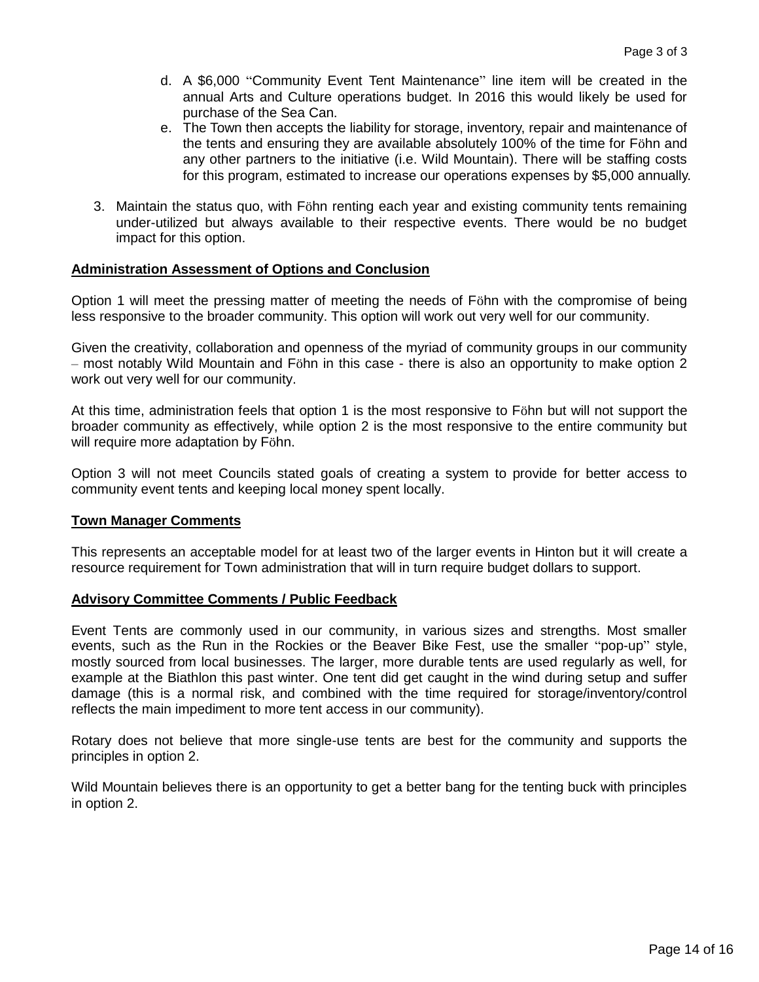- d. A \$6,000 "Community Event Tent Maintenance" line item will be created in the annual Arts and Culture operations budget. In 2016 this would likely be used for purchase of the Sea Can.
- e. The Town then accepts the liability for storage, inventory, repair and maintenance of the tents and ensuring they are available absolutely 100% of the time for Föhn and any other partners to the initiative (i.e. Wild Mountain). There will be staffing costs for this program, estimated to increase our operations expenses by \$5,000 annually.
- 3. Maintain the status quo, with Föhn renting each year and existing community tents remaining under-utilized but always available to their respective events. There would be no budget impact for this option.

#### **Administration Assessment of Options and Conclusion**

Option 1 will meet the pressing matter of meeting the needs of Föhn with the compromise of being less responsive to the broader community. This option will work out very well for our community.

Given the creativity, collaboration and openness of the myriad of community groups in our community – most notably Wild Mountain and Föhn in this case - there is also an opportunity to make option 2 work out very well for our community.

At this time, administration feels that option 1 is the most responsive to Föhn but will not support the broader community as effectively, while option 2 is the most responsive to the entire community but will require more adaptation by Föhn.

Option 3 will not meet Councils stated goals of creating a system to provide for better access to community event tents and keeping local money spent locally.

#### **Town Manager Comments**

This represents an acceptable model for at least two of the larger events in Hinton but it will create a resource requirement for Town administration that will in turn require budget dollars to support.

#### **Advisory Committee Comments / Public Feedback**

Event Tents are commonly used in our community, in various sizes and strengths. Most smaller events, such as the Run in the Rockies or the Beaver Bike Fest, use the smaller "pop-up" style, mostly sourced from local businesses. The larger, more durable tents are used regularly as well, for example at the Biathlon this past winter. One tent did get caught in the wind during setup and suffer damage (this is a normal risk, and combined with the time required for storage/inventory/control reflects the main impediment to more tent access in our community).

Rotary does not believe that more single-use tents are best for the community and supports the principles in option 2.

Wild Mountain believes there is an opportunity to get a better bang for the tenting buck with principles in option 2.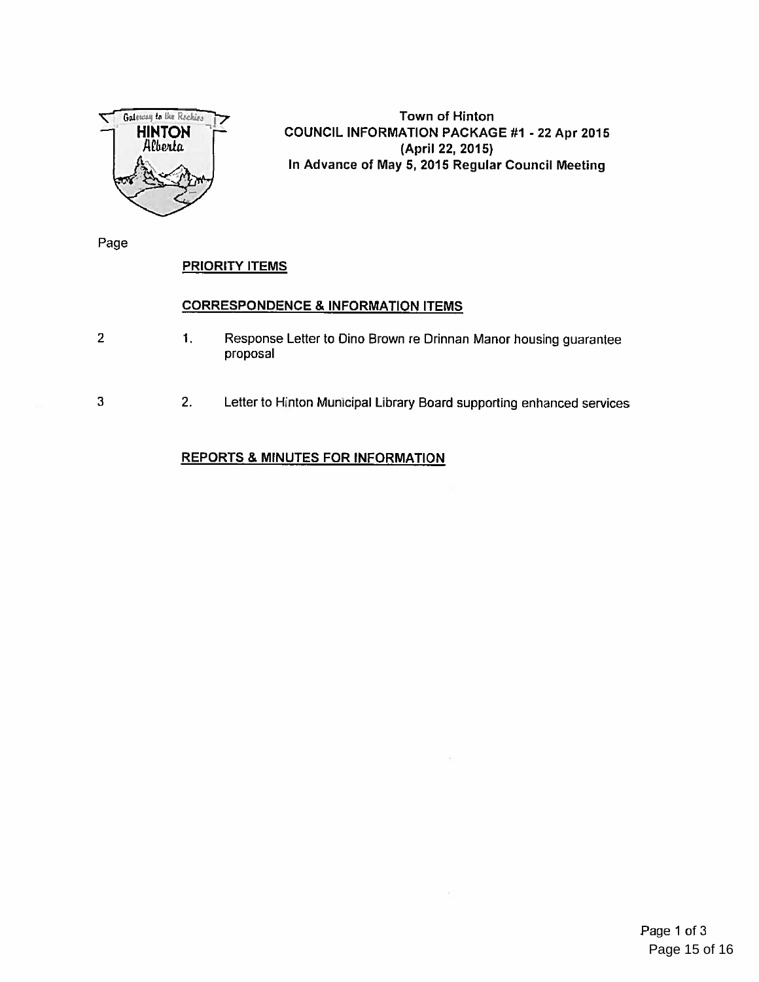

Town of Hinton COUNCIL INFORMATION PACKAGE #1 - 22 Apr 2015 (April 22, 2015) In Advance of May 5, 2015 Regular Council Meeting

Page

## **PRIORITY ITEMS**

#### CORRESPONDENCE & INFORMATION ITEMS

- 1. Response Letter to Dino Brown re Drinnan Manor housing guarantee  $\overline{2}$ proposal
- 3 2. Letter to Hinton Municipal Library Board supporting enhanced services  $\footnotesize{\mathsf{pporting}}$  enhance ices $\,$

# REPORTS & MINUTES FOR INFORMATION <u>ا RC</u><br>. = 0.2 m.n. 000 2.2 m.n. 000 2.2 m.n. 000 2.2 m.n. 000 2.2 m.n. 000 2.2 m.n. 000 2.2 m.n. 000 2.2 m.n. 000 2.2 m.n. 000 2.2 m.n. 000 2.2 m.n. 000 2.2 m.n. 000 2.2 m.n. 000 2.2 m.n. 000 2.2 m.n. 000 2.2 m.n. 000 2.2 m.n. 000